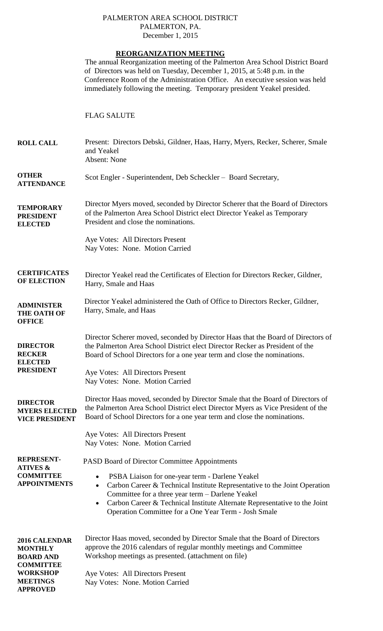## PALMERTON AREA SCHOOL DISTRICT PALMERTON, PA. December 1, 2015

| <b>REORGANIZATION MEETING</b>                                             |                                                                                                                                                                                                                                                                                                                                         |
|---------------------------------------------------------------------------|-----------------------------------------------------------------------------------------------------------------------------------------------------------------------------------------------------------------------------------------------------------------------------------------------------------------------------------------|
|                                                                           | The annual Reorganization meeting of the Palmerton Area School District Board<br>of Directors was held on Tuesday, December 1, 2015, at 5:48 p.m. in the<br>Conference Room of the Administration Office. An executive session was held<br>immediately following the meeting. Temporary president Yeakel presided.                      |
|                                                                           | <b>FLAG SALUTE</b>                                                                                                                                                                                                                                                                                                                      |
| <b>ROLL CALL</b>                                                          | Present: Directors Debski, Gildner, Haas, Harry, Myers, Recker, Scherer, Smale<br>and Yeakel<br>Absent: None                                                                                                                                                                                                                            |
| <b>OTHER</b><br><b>ATTENDANCE</b>                                         | Scot Engler - Superintendent, Deb Scheckler – Board Secretary,                                                                                                                                                                                                                                                                          |
| <b>TEMPORARY</b><br><b>PRESIDENT</b><br><b>ELECTED</b>                    | Director Myers moved, seconded by Director Scherer that the Board of Directors<br>of the Palmerton Area School District elect Director Yeakel as Temporary<br>President and close the nominations.                                                                                                                                      |
|                                                                           | Aye Votes: All Directors Present<br>Nay Votes: None. Motion Carried                                                                                                                                                                                                                                                                     |
| <b>CERTIFICATES</b><br><b>OF ELECTION</b>                                 | Director Yeakel read the Certificates of Election for Directors Recker, Gildner,<br>Harry, Smale and Haas                                                                                                                                                                                                                               |
| <b>ADMINISTER</b><br><b>THE OATH OF</b><br><b>OFFICE</b>                  | Director Yeakel administered the Oath of Office to Directors Recker, Gildner,<br>Harry, Smale, and Haas                                                                                                                                                                                                                                 |
| <b>DIRECTOR</b><br><b>RECKER</b><br><b>ELECTED</b>                        | Director Scherer moved, seconded by Director Haas that the Board of Directors of<br>the Palmerton Area School District elect Director Recker as President of the<br>Board of School Directors for a one year term and close the nominations.                                                                                            |
| <b>PRESIDENT</b>                                                          | Aye Votes: All Directors Present<br>Nay Votes: None. Motion Carried                                                                                                                                                                                                                                                                     |
| <b>DIRECTOR</b><br><b>MYERS ELECTED</b><br><b>VICE PRESIDENT</b>          | Director Haas moved, seconded by Director Smale that the Board of Directors of<br>the Palmerton Area School District elect Director Myers as Vice President of the<br>Board of School Directors for a one year term and close the nominations.                                                                                          |
|                                                                           | Aye Votes: All Directors Present<br>Nay Votes: None. Motion Carried                                                                                                                                                                                                                                                                     |
| <b>REPRESENT-</b><br><b>ATIVES &amp;</b>                                  | <b>PASD Board of Director Committee Appointments</b>                                                                                                                                                                                                                                                                                    |
| <b>COMMITTEE</b><br><b>APPOINTMENTS</b>                                   | PSBA Liaison for one-year term - Darlene Yeakel<br>٠<br>Carbon Career & Technical Institute Representative to the Joint Operation<br>$\bullet$<br>Committee for a three year term - Darlene Yeakel<br>Carbon Career & Technical Institute Alternate Representative to the Joint<br>Operation Committee for a One Year Term - Josh Smale |
| 2016 CALENDAR<br><b>MONTHLY</b><br><b>BOARD AND</b>                       | Director Haas moved, seconded by Director Smale that the Board of Directors<br>approve the 2016 calendars of regular monthly meetings and Committee<br>Workshop meetings as presented. (attachment on file)                                                                                                                             |
| <b>COMMITTEE</b><br><b>WORKSHOP</b><br><b>MEETINGS</b><br><b>APPROVED</b> | Aye Votes: All Directors Present<br>Nay Votes: None. Motion Carried                                                                                                                                                                                                                                                                     |